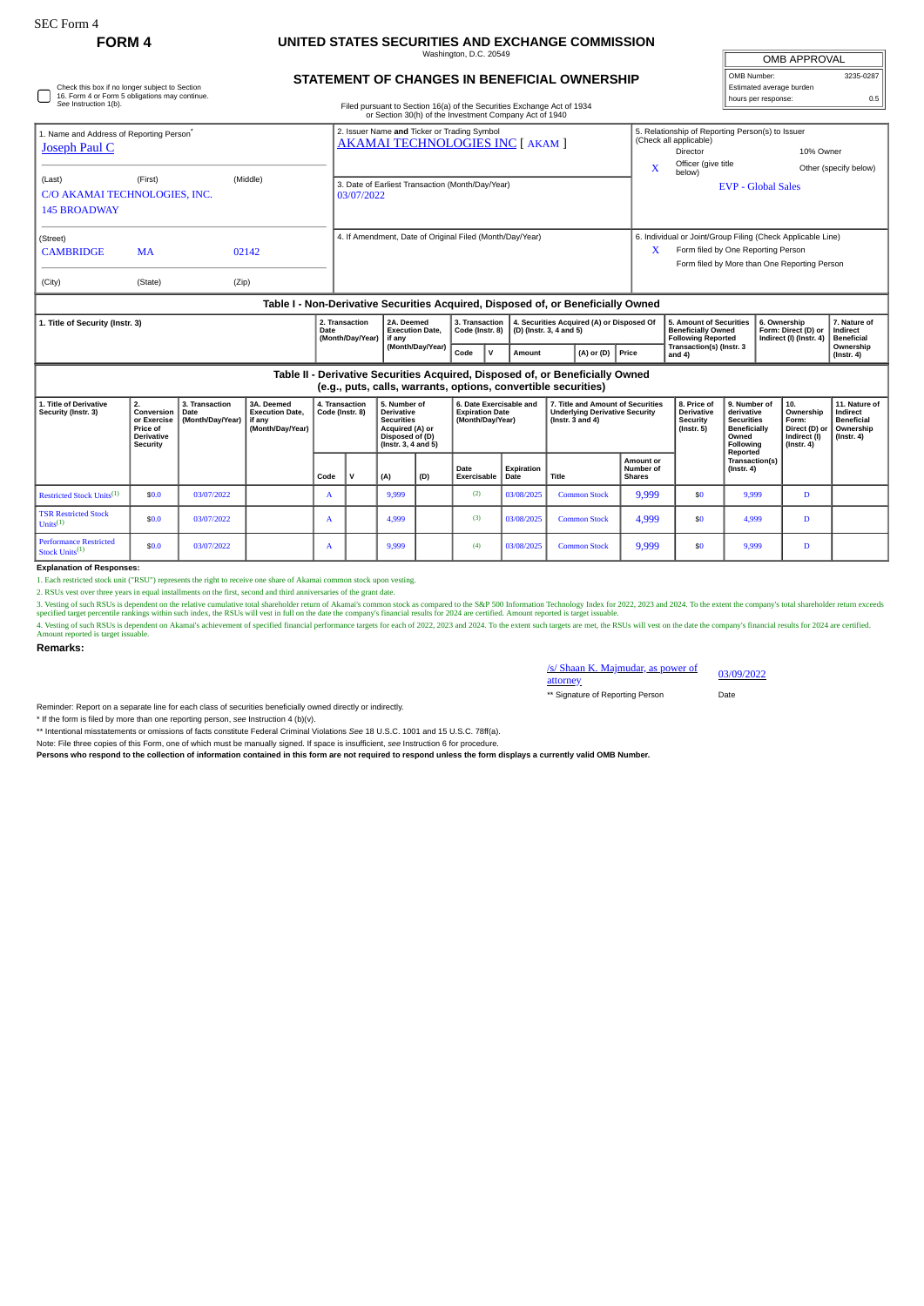## **FORM 4 UNITED STATES SECURITIES AND EXCHANGE COMMISSION**

Washington, D.C. 20549

| <b>OMB APPROVAL</b>      |           |  |  |  |  |  |  |  |
|--------------------------|-----------|--|--|--|--|--|--|--|
| OMB Number:              | 3235-0287 |  |  |  |  |  |  |  |
| Estimated average burden |           |  |  |  |  |  |  |  |
| hours per response:      | 0.5       |  |  |  |  |  |  |  |

**6. Ownership Form: Direct (D) or Indirect (I) (Instr. 4)**

**7. Nature of Indirect Beneficial**

## **STATEMENT OF CHANGES IN BENEFICIAL OWNERSHIP**

Filed pursuant to Section 16(a) of the Securities Exchange Act of 1934 or Section 30(h) of the Investment Company Act of 1940

| 1. Name and Address of Reporting Person <sup>®</sup>                                  |           |       | 2. Issuer Name and Ticker or Trading Symbol                    | 5. Relationship of Reporting Person(s) to Issuer<br>(Check all applicable) |                                                             |                       |  |  |  |
|---------------------------------------------------------------------------------------|-----------|-------|----------------------------------------------------------------|----------------------------------------------------------------------------|-------------------------------------------------------------|-----------------------|--|--|--|
| Joseph Paul C                                                                         |           |       | AKAMAI TECHNOLOGIES INC [ AKAM ]                               |                                                                            | Director                                                    | 10% Owner             |  |  |  |
| (Last)<br>(First)<br>(Middle)<br>C/O AKAMAI TECHNOLOGIES, INC.<br><b>145 BROADWAY</b> |           |       |                                                                | X                                                                          | Officer (give title<br>below)                               | Other (specify below) |  |  |  |
|                                                                                       |           |       | 3. Date of Earliest Transaction (Month/Day/Year)<br>03/07/2022 |                                                                            | <b>EVP - Global Sales</b>                                   |                       |  |  |  |
| (Street)                                                                              |           |       | 4. If Amendment, Date of Original Filed (Month/Day/Year)       |                                                                            | 6. Individual or Joint/Group Filing (Check Applicable Line) |                       |  |  |  |
| <b>CAMBRIDGE</b>                                                                      | <b>MA</b> | 02142 |                                                                | X                                                                          | Form filed by One Reporting Person                          |                       |  |  |  |
|                                                                                       |           |       |                                                                |                                                                            | Form filed by More than One Reporting Person                |                       |  |  |  |
| (City)                                                                                | (State)   | (Zip) |                                                                |                                                                            |                                                             |                       |  |  |  |
| Table I - Non-Derivative Securities Acquired, Disposed of, or Beneficially Owned      |           |       |                                                                |                                                                            |                                                             |                       |  |  |  |

**Date (Month/Day/Year) if any (Month/Day/Year) 3. Tra** 3. Transaction 4. Securities Acquired (A) or Disposed Of 5. Amount of Securities Acquired (A) or Disposed Of Beneficially Owned Form: Direct (D) or Indirect of Code (Instr. 3) (D) (Instr. 3, 4 and 5)<br>Code V Amount (A) or

ion<br>. 8)

**4. Securities Acquired (A) or Disposed Of (D) (Instr. 3, 4 and 5)**

## **Table II - Derivative Securities Acquired, Disposed of, or Beneficially Owned (e.g., puts, calls, warrants, options, convertible securities)**

**2A. Deemed Execution Date,**

| 1. Title of Derivative<br>Security (Instr. 3)               | 2.<br>Conversion<br>or Exercise<br>Price of<br><b>Derivative</b><br>Security | 3. Transaction<br>Date<br>(Month/Day/Year) | 3A. Deemed<br><b>Execution Date.</b><br>  if any<br>(Month/Day/Year) | 4. Transaction<br>Code (Instr. 8) | 5. Number of<br><b>Derivative</b><br><b>Securities</b><br>Acquired (A) or<br>Disposed of (D)<br>(Instr. 3, 4 and 5) |     | 6. Date Exercisable and<br><b>Expiration Date</b><br>(Month/Day/Year) |                           | 7. Title and Amount of Securities<br><b>Underlying Derivative Security</b><br>( $lnstr. 3 and 4$ ) |                                         | 8. Price of<br><b>Derivative</b><br>Security<br>(Instr. 5) | 9. Number of<br>derivative<br><b>Securities</b><br><b>Beneficially</b><br>Owned<br>Following | 10.<br>Ownership<br>Form:<br>Direct (D) or<br>Indirect (I)<br>$($ lnstr. 4 $)$ | 11. Nature of<br>Indirect<br>Beneficial<br>Ownership<br>(Instr. 4) |
|-------------------------------------------------------------|------------------------------------------------------------------------------|--------------------------------------------|----------------------------------------------------------------------|-----------------------------------|---------------------------------------------------------------------------------------------------------------------|-----|-----------------------------------------------------------------------|---------------------------|----------------------------------------------------------------------------------------------------|-----------------------------------------|------------------------------------------------------------|----------------------------------------------------------------------------------------------|--------------------------------------------------------------------------------|--------------------------------------------------------------------|
|                                                             |                                                                              |                                            |                                                                      | Code                              | (A)                                                                                                                 | (D) | Date<br>Exercisable                                                   | <b>Expiration</b><br>Date | Title                                                                                              | Amount or<br>Number of<br><b>Shares</b> |                                                            | Reported<br>Transaction(s)<br>$($ lnstr. 4 $)$                                               |                                                                                |                                                                    |
| Restricted Stock Units <sup>(1)</sup>                       | \$0.0                                                                        | 03/07/2022                                 |                                                                      | $\mathbf{A}$                      | 9,999                                                                                                               |     | (2)                                                                   | 03/08/2025                | <b>Common Stock</b>                                                                                | 9,999                                   | \$0                                                        | 9.999                                                                                        | D.                                                                             |                                                                    |
| <b>TSR Restricted Stock</b><br>Units <sup>(1)</sup>         | \$0.0                                                                        | 03/07/2022                                 |                                                                      | A                                 | 4.999                                                                                                               |     | (3)                                                                   | 03/08/2025                | <b>Common Stock</b>                                                                                | 4,999                                   | \$0                                                        | 4.999                                                                                        | D                                                                              |                                                                    |
| <b>Performance Restricted</b><br>Stock Units <sup>(1)</sup> | \$0.0                                                                        | 03/07/2022                                 |                                                                      | A                                 | 9,999                                                                                                               |     | (4)                                                                   | 03/08/2025                | <b>Common Stock</b>                                                                                | 9,999                                   | \$0                                                        | 9.999                                                                                        | D                                                                              |                                                                    |

**Explanation of Responses:**

**1. Title of Security (Instr. 3) 2. Transaction**

1. Each restricted stock unit ("RSU") represents the right to receive one share of Akamai common stock upon vesting.

2. RSUs vest over three years in equal installments on the first, second and third anniversaries of the grant date.

3. Vesting of such RSUs is dependent on the relative cumulative total shareholder return of Akamai's common stock as compared to the S&P 500 Information Technology Index for 2022, 2023 and 2024. To the extent the company's

4. Vesting of such RSUs is dependent on Akamaïs achievement of specified financial performance targets for each of 2022, 2023 and 2024. To the extent such targets are met, the RSUs will vest on the date the company's finan

**Remarks:**

/s/ Shaan K. Majmudar, as power of attorney 03/09/2022

\*\* Signature of Reporting Person Date

Reminder: Report on a separate line for each class of securities beneficially owned directly or indirectly.

\* If the form is filed by more than one reporting person, *see* Instruction 4 (b)(v).

\*\* Intentional misstatements or omissions of facts constitute Federal Criminal Violations *See* 18 U.S.C. 1001 and 15 U.S.C. 78ff(a).

Note: File three copies of this Form, one of which must be manually signed. If space is insufficient, *see* Instruction 6 for procedure.

**Persons who respond to the collection of information contained in this form are not required to respond unless the form displays a currently valid OMB Number.**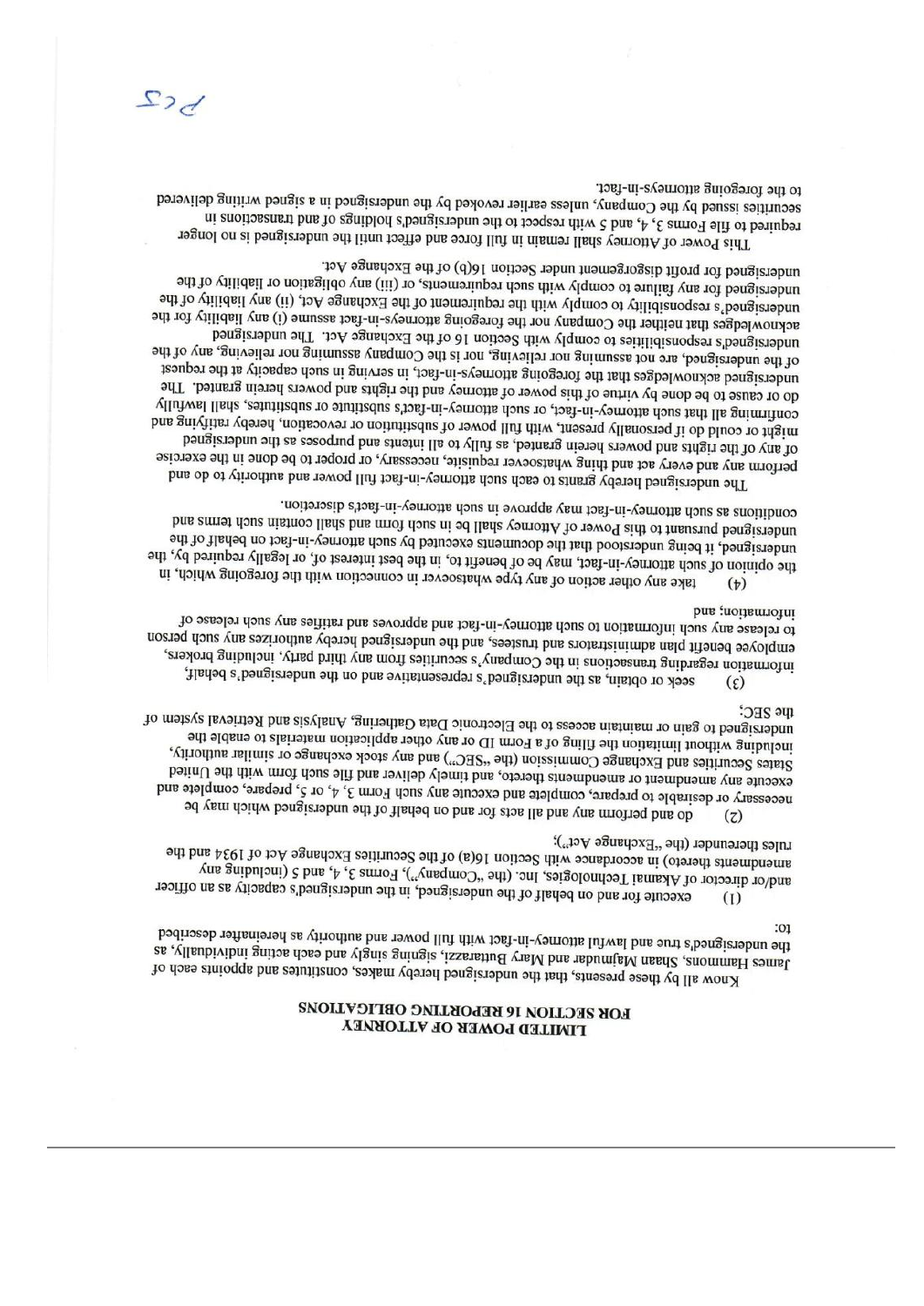## FOR SECTION 16 REPORTING OBLIGATIONS **TIMILED LOMEK OF VILIOKAEA**

the undersigned's true and lawful attorney-in-fact with full power and authority as hereinafter described  $:01$ James Hammons, Shaan Majmudar and Mary Buttarais, signing singly and each acting individually, as Know all by these presents, that the undersigned hereby makes, constitutes and appoints each of

unjes thereunder (the "Exchange Act"); amendments therefo) in accordance with Section 16(a) of the Securities Exchange Act of 1934 and the and/or director of Akamai Technologies, Inc. (the "Company"), Forms 3, 4, and 5 (including any execute for and on behalf of the undersigned, in the undersigneds capacity as an officer  $\rm (I)$ 

the SEC; undersigned to gain or maintain access to the Electronic Data Gathering, Analysis and Retrieval system of including without limitation the filing of a Form ID or any other application materials to enable the States Securities and Exchange Commission (the "SEC") and any stock exchange or similar authority, execute any amendment or amendments thereto, and timely deliver and file sluon doint with the United necessary or desirable to prepare, complete and execute any such Form 3, 4, or 5, prepare, complete and do and perform any and all acts for and on behalf of the undersigned which may be

information; and to release any such incurrent of anch attention of the space and approves and ratifies any such release of employee benefit plan administrators and the stees, and the undersigned hereby authorizes any such person includion regarding transactions in the Company's securities from any third party, including brokers, seek or obtain, as the undersigned's representative and on the undersigned's behalf,  $(\xi)$ 

conditions as such attorney-in-fact may approve in such attorney-in-fact's discretion. undersigned pursuant to this Power of Attorney shall be in such fons and shall contain such terms and undersigned, it being understood that the documents executed by such attornary-in-fact on behalf of the the opinion of such attorney-in-fact, may be of benefit to, in the best interest of, or legally required by, the take any other action of any type whatsoever in connection with the foregoing which, in  $(b)$ 

undersigned for profit disgorgement under Section 16(b) of the Exchange Act. undersigned for any failure to comply with such requirements, or (iii) any obligation or liability of the undersigned's responsibility to comply with the requirement of the Exchange Act, (ii) any liability of the acknowledges that neither the Company nor the foregoing attorneys-in-fact assume (i) any liability for the undersigned's responsibilities to comply with Section 16 of the Exchange Act. The undersigned of the undersigned, are not assuming nor relieving, nor is the Company assuming nor relieving, any of the undersigned acknowledges that the foregoing attorneys-in-fact, in serving in such capacity at the request do or cause to be done by virtue of this power of aromay and the rights and powers herein granted. The confirming all that such attorney-in-fact, or such attorney-in-fact's substitute or substitute, shall lawfully might or could do if personally present, with full power of substitution or revocation, hereby rativitying and of the shights and powers herein granted, as yilly to all intensional purposes as the undersigned perform any and every act and thing whatsoever requisite, necessary, or proper to be done in the exercise The undersigned bereby grants to each such attorney-in-fact full power and authority to do and

to the foregoing attorneys-in-fact. securities issued by the Company, unless earlier revoked by the undersigned in a signed writing delivered required to file Forms 3, 4, and c with respect to the undersigned s holdings of and transactions in This Power of Atomey shall remain in full force and effect until the undersigned is no longer

 $D_{c}$